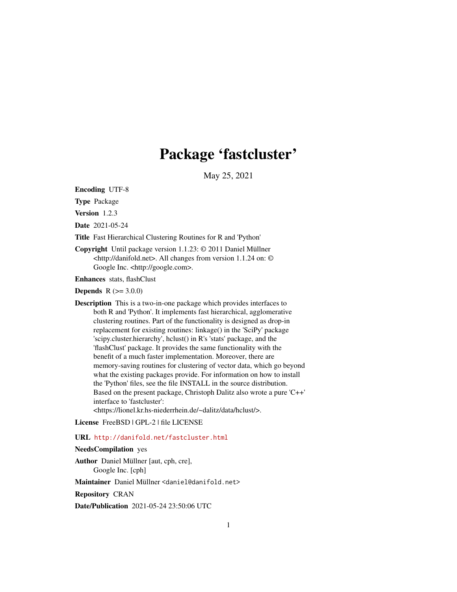## Package 'fastcluster'

May 25, 2021

<span id="page-0-0"></span>Encoding UTF-8

Type Package

Version 1.2.3

Date 2021-05-24

Title Fast Hierarchical Clustering Routines for R and 'Python'

Copyright Until package version 1.1.23: © 2011 Daniel Müllner <http://danifold.net>. All changes from version 1.1.24 on: © Google Inc. <http://google.com>.

Enhances stats, flashClust

**Depends** R  $(>= 3.0.0)$ 

Description This is a two-in-one package which provides interfaces to both R and 'Python'. It implements fast hierarchical, agglomerative clustering routines. Part of the functionality is designed as drop-in replacement for existing routines: linkage() in the 'SciPy' package 'scipy.cluster.hierarchy', hclust() in R's 'stats' package, and the 'flashClust' package. It provides the same functionality with the benefit of a much faster implementation. Moreover, there are memory-saving routines for clustering of vector data, which go beyond what the existing packages provide. For information on how to install the 'Python' files, see the file INSTALL in the source distribution. Based on the present package, Christoph Dalitz also wrote a pure 'C++' interface to 'fastcluster':

<https://lionel.kr.hs-niederrhein.de/~dalitz/data/hclust/>.

License FreeBSD | GPL-2 | file LICENSE

#### URL <http://danifold.net/fastcluster.html>

#### NeedsCompilation yes

Author Daniel Müllner [aut, cph, cre], Google Inc. [cph]

Maintainer Daniel Müllner <daniel@danifold.net>

Repository CRAN

Date/Publication 2021-05-24 23:50:06 UTC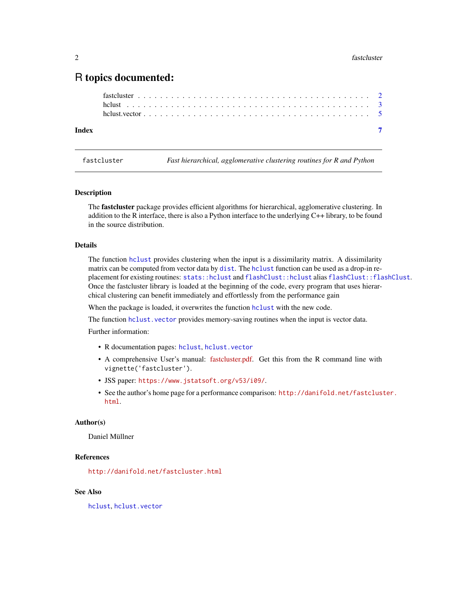### <span id="page-1-0"></span>R topics documented:

| Index |  |  |
|-------|--|--|
|       |  |  |
|       |  |  |
|       |  |  |

<span id="page-1-1"></span>fastcluster *Fast hierarchical, agglomerative clustering routines for R and Python*

#### Description

The fastcluster package provides efficient algorithms for hierarchical, agglomerative clustering. In addition to the R interface, there is also a Python interface to the underlying C++ library, to be found in the source distribution.

#### Details

The function [hclust](#page-2-1) provides clustering when the input is a dissimilarity matrix. A dissimilarity matrix can be computed from vector data by [dist](#page-0-0). The [hclust](#page-2-1) function can be used as a drop-in replacement for existing routines: [stats::hclust](#page-0-0) and [flashClust::hclust](#page-0-0) alias [flashClust::flashClust](#page-0-0). Once the fastcluster library is loaded at the beginning of the code, every program that uses hierarchical clustering can benefit immediately and effortlessly from the performance gain

When the package is loaded, it overwrites the function [hclust](#page-2-1) with the new code.

The function hclust. vector provides memory-saving routines when the input is vector data.

Further information:

- R documentation pages: [hclust](#page-2-1), [hclust.vector](#page-4-1)
- A comprehensive User's manual: [fastcluster.pdf.](https://CRAN.R-project.org/package=fastcluster/vignettes/fastcluster.pdf) Get this from the R command line with vignette('fastcluster').
- JSS paper: <https://www.jstatsoft.org/v53/i09/>.
- See the author's home page for a performance comparison: [http://danifold.net/fastclust](http://danifold.net/fastcluster.html)er. [html](http://danifold.net/fastcluster.html).

#### Author(s)

Daniel Müllner

#### References

<http://danifold.net/fastcluster.html>

#### See Also

[hclust](#page-2-1), [hclust.vector](#page-4-1)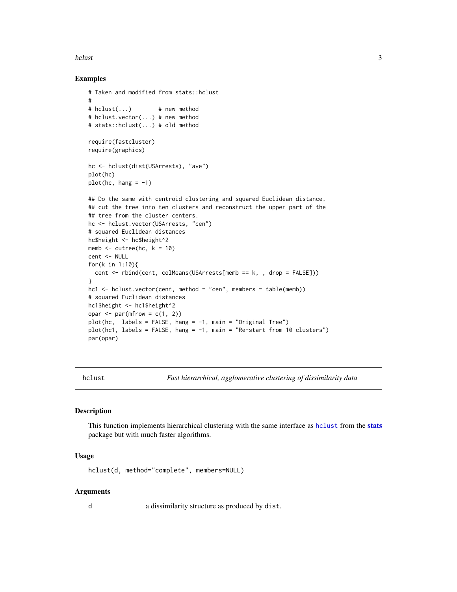#### <span id="page-2-0"></span>hclust 3

#### Examples

```
# Taken and modified from stats::hclust
#
# hclust(...) # new method
# hclust.vector(...) # new method
# stats::hclust(...) # old method
require(fastcluster)
require(graphics)
hc <- hclust(dist(USArrests), "ave")
plot(hc)
plot(hc, hang = -1)## Do the same with centroid clustering and squared Euclidean distance,
## cut the tree into ten clusters and reconstruct the upper part of the
## tree from the cluster centers.
hc <- hclust.vector(USArrests, "cen")
# squared Euclidean distances
hc$height <- hc$height^2
memb \leq cutree(hc, k = 10)
cent <- NULL
for(k in 1:10){
  cent <- rbind(cent, colMeans(USArrests[memb == k, , drop = FALSE]))
}
hcl \leq-hclust.vector(cent, method = "cen", members = table(memb))# squared Euclidean distances
hc1$height <- hc1$height^2
opar \leq par(mfrow = c(1, 2))
plot(hc, labels = FALSE, hang = -1, main = "Original Tree")
plot(hc1, labels = FALSE, hang = -1, main = "Re-start from 10 clusters")
par(opar)
```
<span id="page-2-1"></span>hclust *Fast hierarchical, agglomerative clustering of dissimilarity data*

#### **Description**

This function implements hierarchical clustering with the same interface as [hclust](#page-2-1) from the [stats](#page-0-0) package but with much faster algorithms.

#### Usage

hclust(d, method="complete", members=NULL)

#### Arguments

d a dissimilarity structure as produced by dist.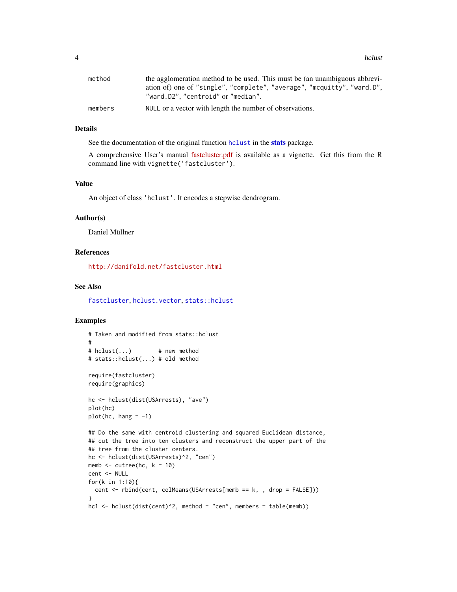<span id="page-3-0"></span>4 hclusters and the set of the set of the set of the set of the set of the set of the set of the set of the set of the set of the set of the set of the set of the set of the set of the set of the set of the set of the set

| method  | the agglomeration method to be used. This must be (an unambiguous abbrevi- |
|---------|----------------------------------------------------------------------------|
|         | ation of) one of "single", "complete", "average", "mcquitty", "ward.D",    |
|         | "ward.D2", "centroid" or "median".                                         |
| members | NULL or a vector with length the number of observations.                   |

#### Details

See the documentation of the original function [hclust](#page-2-1) in the [stats](#page-0-0) package.

A comprehensive User's manual [fastcluster.pdf](https://CRAN.R-project.org/package=fastcluster/vignettes/fastcluster.pdf) is available as a vignette. Get this from the R command line with vignette('fastcluster').

#### Value

An object of class 'hclust'. It encodes a stepwise dendrogram.

#### Author(s)

Daniel Müllner

#### References

<http://danifold.net/fastcluster.html>

#### See Also

[fastcluster](#page-1-1), [hclust.vector](#page-4-1), [stats::hclust](#page-0-0)

#### Examples

```
# Taken and modified from stats::hclust
#
# hclust(...) # new method
# stats::hclust(...) # old method
require(fastcluster)
require(graphics)
hc <- hclust(dist(USArrests), "ave")
plot(hc)
plot(hc, hang = -1)## Do the same with centroid clustering and squared Euclidean distance,
## cut the tree into ten clusters and reconstruct the upper part of the
## tree from the cluster centers.
hc <- hclust(dist(USArrests)^2, "cen")
memb \le cutree(hc, k = 10)
cent <- NULL
for(k in 1:10){
  cent <- rbind(cent, colMeans(USArrests[memb == k, , drop = FALSE]))
}
hc1 <- hclust(dist(cent)^2, method = "cen", members = table(memb))
```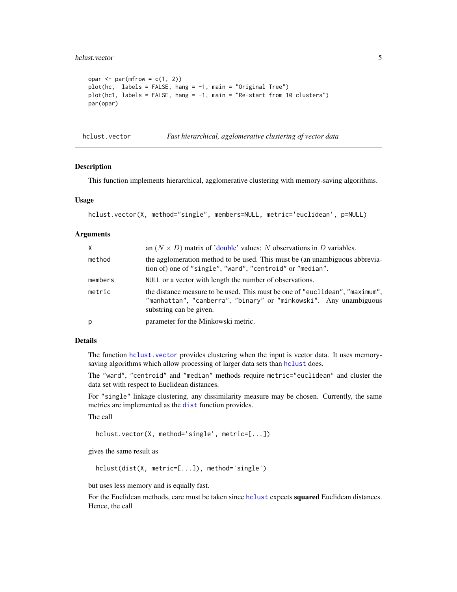#### <span id="page-4-0"></span>hclust.vector 5

```
opar \leq par(mfrow = c(1, 2))
plot(hc, labels = FALSE, hang = -1, main = "Original Tree")
plot(hc1, labels = FALSE, hang = -1, main = "Re-start from 10 clusters")
par(opar)
```
<span id="page-4-1"></span>hclust.vector *Fast hierarchical, agglomerative clustering of vector data*

#### Description

This function implements hierarchical, agglomerative clustering with memory-saving algorithms.

#### Usage

```
hclust.vector(X, method="single", members=NULL, metric='euclidean', p=NULL)
```
#### Arguments

| $\mathsf{X}$ | an $(N \times D)$ matrix of 'double' values: N observations in D variables.                                                                                                  |
|--------------|------------------------------------------------------------------------------------------------------------------------------------------------------------------------------|
| method       | the agglomeration method to be used. This must be (an unambiguous abbrevia-<br>tion of) one of "single", "ward", "centroid" or "median".                                     |
| members      | NULL or a vector with length the number of observations.                                                                                                                     |
| metric       | the distance measure to be used. This must be one of "euclidean", "maximum",<br>"manhattan", "canberra", "binary" or "minkowski". Any unambiguous<br>substring can be given. |
| p            | parameter for the Minkowski metric.                                                                                                                                          |

#### Details

The function [hclust.vector](#page-4-1) provides clustering when the input is vector data. It uses memorysaving algorithms which allow processing of larger data sets than [hclust](#page-2-1) does.

The "ward", "centroid" and "median" methods require metric="euclidean" and cluster the data set with respect to Euclidean distances.

For "single" linkage clustering, any dissimilarity measure may be chosen. Currently, the same metrics are implemented as the [dist](#page-0-0) function provides.

The call

hclust.vector(X, method='single', metric=[...])

gives the same result as

hclust(dist(X, metric=[...]), method='single')

but uses less memory and is equally fast.

For the Euclidean methods, care must be taken since holust expects squared Euclidean distances. Hence, the call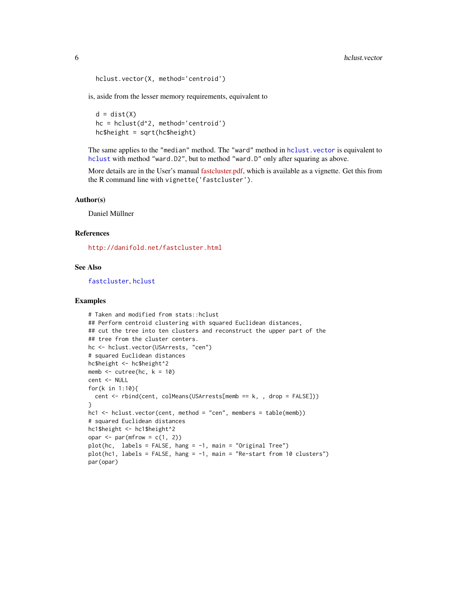```
hclust.vector(X, method='centroid')
```
is, aside from the lesser memory requirements, equivalent to

 $d = dist(X)$ hc = hclust(d^2, method='centroid')  $hc$height = sqrt(hc$height)$ 

The same applies to the "median" method. The "ward" method in [hclust.vector](#page-4-1) is equivalent to [hclust](#page-2-1) with method "ward.D2", but to method "ward.D" only after squaring as above.

More details are in the User's manual [fastcluster.pdf,](https://CRAN.R-project.org/package=fastcluster/vignettes/fastcluster.pdf) which is available as a vignette. Get this from the R command line with vignette('fastcluster').

#### Author(s)

Daniel Müllner

#### References

<http://danifold.net/fastcluster.html>

#### See Also

[fastcluster](#page-1-1), [hclust](#page-2-1)

#### Examples

```
# Taken and modified from stats::hclust
## Perform centroid clustering with squared Euclidean distances,
## cut the tree into ten clusters and reconstruct the upper part of the
## tree from the cluster centers.
hc <- hclust.vector(USArrests, "cen")
# squared Euclidean distances
hc$height <- hc$height^2
memb \le cutree(hc, k = 10)
cent <- NULL
for(k in 1:10){
 cent <- rbind(cent, colMeans(USArrests[memb == k, , drop = FALSE]))
}
hcl \leq-hclust.vector(cent, method = "cen", members = table(memb))# squared Euclidean distances
hc1$height <- hc1$height^2
opar \leq par(mfrow = c(1, 2))
plot(hc, labels = FALSE, hang = -1, main = "Original Tree")
plot(hc1, labels = FALSE, hang = -1, main = "Re-start from 10 clusters")
par(opar)
```